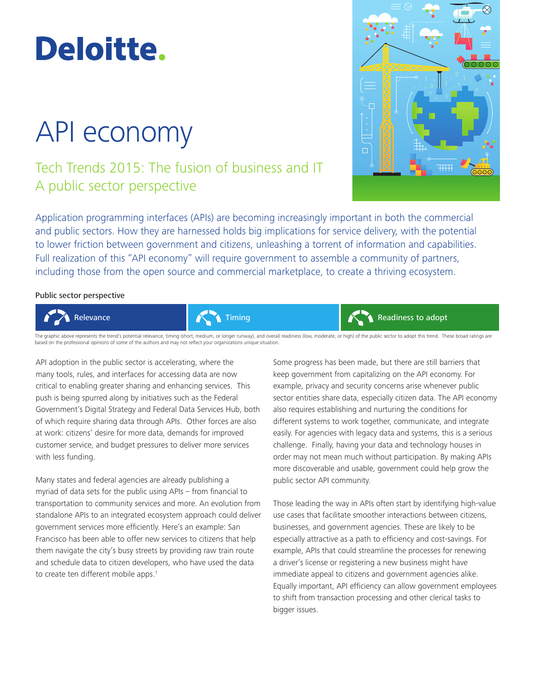# Deloitte.

## API economy

### Tech Trends 2015: The fusion of business and IT A public sector perspective



Application programming interfaces (APIs) are becoming increasingly important in both the commercial and public sectors. How they are harnessed holds big implications for service delivery, with the potential to lower friction between government and citizens, unleashing a torrent of information and capabilities. Full realization of this "API economy" will require government to assemble a community of partners, including those from the open source and commercial marketplace, to create a thriving ecosystem.

#### Public sector perspective



The graphic above represents the trend's potential relevance, timing (short, medium, or longer runway), and overall readiness (low, moderate, or high) of the public sector to adopt this trend. These broad ratings are based on the professional opinions of some of the authors and may not reflect your organizations unique situation.

API adoption in the public sector is accelerating, where the many tools, rules, and interfaces for accessing data are now critical to enabling greater sharing and enhancing services. This push is being spurred along by initiatives such as the Federal Government's Digital Strategy and Federal Data Services Hub, both of which require sharing data through APIs. Other forces are also at work: citizens' desire for more data, demands for improved customer service, and budget pressures to deliver more services with less funding.

Many states and federal agencies are already publishing a myriad of data sets for the public using APIs – from financial to transportation to community services and more. An evolution from standalone APIs to an integrated ecosystem approach could deliver government services more efficiently. Here's an example: San Francisco has been able to offer new services to citizens that help them navigate the city's busy streets by providing raw train route and schedule data to citizen developers, who have used the data to create ten different mobile apps.<sup>1</sup>

Some progress has been made, but there are still barriers that keep government from capitalizing on the API economy. For example, privacy and security concerns arise whenever public sector entities share data, especially citizen data. The API economy also requires establishing and nurturing the conditions for different systems to work together, communicate, and integrate easily. For agencies with legacy data and systems, this is a serious challenge. Finally, having your data and technology houses in order may not mean much without participation. By making APIs more discoverable and usable, government could help grow the public sector API community.

Those leading the way in APIs often start by identifying high-value use cases that facilitate smoother interactions between citizens, businesses, and government agencies. These are likely to be especially attractive as a path to efficiency and cost-savings. For example, APIs that could streamline the processes for renewing a driver's license or registering a new business might have immediate appeal to citizens and government agencies alike. Equally important, API efficiency can allow government employees to shift from transaction processing and other clerical tasks to bigger issues.